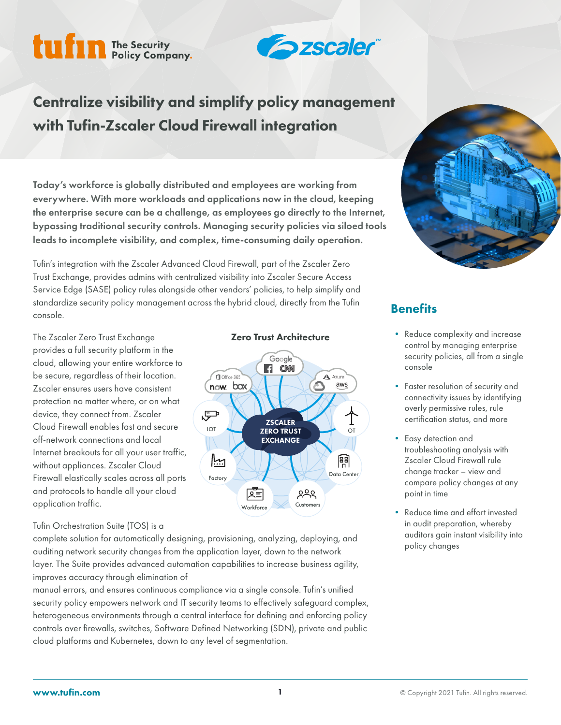# tufin The Security



Centralize visibility and simplify policy management with Tufin-Zscaler Cloud Firewall integration

Today's workforce is globally distributed and employees are working from everywhere. With more workloads and applications now in the cloud, keeping the enterprise secure can be a challenge, as employees go directly to the Internet, bypassing traditional security controls. Managing security policies via siloed tools leads to incomplete visibility, and complex, time-consuming daily operation.

Tufin's integration with the Zscaler Advanced Cloud Firewall, part of the Zscaler Zero Trust Exchange, provides admins with centralized visibility into Zscaler Secure Access Service Edge (SASE) policy rules alongside other vendors' policies, to help simplify and standardize security policy management across the hybrid cloud, directly from the Tufin console.

The Zscaler Zero Trust Exchange provides a full security platform in the cloud, allowing your entire workforce to be secure, regardless of their location. Zscaler ensures users have consistent protection no matter where, or on what device, they connect from. Zscaler Cloud Firewall enables fast and secure off-network connections and local Internet breakouts for all your user traffic, without appliances. Zscaler Cloud Firewall elastically scales across all ports and protocols to handle all your cloud application traffic.

#### Tufin Orchestration Suite (TOS) is a

complete solution for automatically designing, provisioning, analyzing, deploying, and auditing network security changes from the application layer, down to the network layer. The Suite provides advanced automation capabilities to increase business agility, improves accuracy through elimination of

manual errors, and ensures continuous compliance via a single console. Tufin's unified security policy empowers network and IT security teams to effectively safeguard complex, heterogeneous environments through a central interface for defining and enforcing policy controls over firewalls, switches, Software Defined Networking (SDN), private and public cloud platforms and Kubernetes, down to any level of segmentation.







## **Benefits**

- Reduce complexity and increase control by managing enterprise security policies, all from a single console
- Faster resolution of security and connectivity issues by identifying overly permissive rules, rule certification status, and more
- Easy detection and troubleshooting analysis with Zscaler Cloud Firewall rule change tracker – view and compare policy changes at any point in time
- Reduce time and effort invested in audit preparation, whereby auditors gain instant visibility into policy changes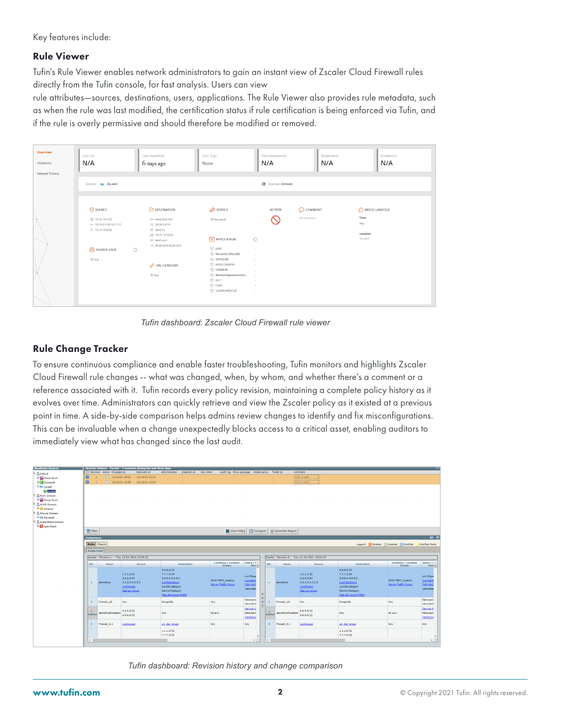Key features include:

#### Rule Viewer

Tufin's Rule Viewer enables network administrators to gain an instant view of Zscaler Cloud Firewall rules directly from the Tufin console, for fast analysis. Users can view

rule attributes—sources, destinations, users, applications. The Rule Viewer also provides rule metadata, such as when the rule was last modified, the certification status if rule certification is being enforced via Tufin, and if the rule is overly permissive and should therefore be modified or removed.

| Overview<br>Violations<br><b>Related Tickets</b> | Last hit<br>N/A                                                       | <b>Last modified</b><br>6 days ago                                                                  | Cert. Exp.<br>None                                      | Permissiveness<br>N/A   | Shadowed<br>N/A    | Violations<br>N/A         |
|--------------------------------------------------|-----------------------------------------------------------------------|-----------------------------------------------------------------------------------------------------|---------------------------------------------------------|-------------------------|--------------------|---------------------------|
|                                                  | Device: S Zscaler                                                     |                                                                                                     |                                                         | <b>O</b> Domain:Default |                    |                           |
|                                                  | SOURCE                                                                | <b>S DESTINATION</b>                                                                                | SERVICE                                                 | <b>ACTION</b>           | $\bigcirc$ COMMENT | $50$ ] MISCELLANEOUS      |
|                                                  | ◎ 14.14.14.1/32<br>H4 10.10.0.0-10.10.11.11<br><b>A</b> 13.13.13.0/24 | B <sup>6</sup> www.test.com<br>$\frac{5}{21}$ 30.30.0.0/16<br>影 test2.ru<br><b>图 15.15.15.15/32</b> | % Any (ipv4)                                            |                         | No comment         | Time:<br>Any<br>Location: |
|                                                  |                                                                       | B# test1.co.il<br>H4 20.20.20.0-20.20.20.5                                                          | A <b><i>APPLICATION</i></b>                             | $\circ$                 |                    | No data                   |
|                                                  | <b>Q</b> SOURCE USER                                                  | $\odot$                                                                                             | $\boxed{\lambda}$ APNS<br><b>ER Microsoft Office365</b> | $\sim$<br>$\sim$        |                    |                           |
|                                                  | <b>紫Any</b>                                                           |                                                                                                     | <b>CH OFFICE365</b>                                     | $\sim$                  |                    |                           |
|                                                  |                                                                       | PURL CATEGORY                                                                                       | M365COMMON<br><b>ER LOGMEIN</b>                         | <b>A</b><br>$\sim$      |                    |                           |
|                                                  |                                                                       | <b>会Any</b>                                                                                         | (景 NetworkApplicationGro                                | $\sim$                  |                    |                           |
|                                                  |                                                                       |                                                                                                     | $\mathbb{R}$ DICT                                       | $\sim$                  |                    |                           |
|                                                  |                                                                       |                                                                                                     | $1$ CHAP<br><b>N</b> LOGMEINRESCUE                      | $\sim$<br>$\sim$        |                    |                           |
|                                                  |                                                                       |                                                                                                     |                                                         |                         |                    |                           |

*Tufin dashboard: Zscaler Cloud Firewall rule viewer*

#### Rule Change Tracker

To ensure continuous compliance and enable faster troubleshooting, Tufin monitors and highlights Zscaler Cloud Firewall rule changes -- what was changed, when, by whom, and whether there's a comment or a reference associated with it. Tufin records every policy revision, maintaining a complete policy history as it evolves over time. Administrators can quickly retrieve and view the Zscaler policy as it existed at a previous point in time. A side-by-side comparison helps admins review changes to identify and fix misconfigurations. This can be invaluable when a change unexpectedly blocks access to a critical asset, enabling auditors to immediately view what has changed since the last audit.

|                      |                                                                                                          |                                |                                                                             | Revision History - Zscaler - 2 revisions during the last three days |                                                                                                                               |                   |                                                   |                                                          |               |                |                                         |                                                                             |                                                                                                                           |                                                   | Ð                                                        |  |
|----------------------|----------------------------------------------------------------------------------------------------------|--------------------------------|-----------------------------------------------------------------------------|---------------------------------------------------------------------|-------------------------------------------------------------------------------------------------------------------------------|-------------------|---------------------------------------------------|----------------------------------------------------------|---------------|----------------|-----------------------------------------|-----------------------------------------------------------------------------|---------------------------------------------------------------------------------------------------------------------------|---------------------------------------------------|----------------------------------------------------------|--|
|                      |                                                                                                          | [x] Revision Action Changed on |                                                                             | Received on                                                         | Installed on<br>Administrator                                                                                                 | <b>GUI client</b> | Audit log Policy package Global policy Ticket ID  |                                                          |               |                |                                         | Comment                                                                     |                                                                                                                           |                                                   |                                                          |  |
| $\blacksquare$       | $\overline{2}$                                                                                           | $Q$ 12/10/21 15:01             |                                                                             | 12/10/21 15:01                                                      |                                                                                                                               |                   |                                                   |                                                          |               | $\sim$         |                                         | Click to edit.                                                              |                                                                                                                           |                                                   |                                                          |  |
| $\blacksquare$       | $\mathbf{1}$                                                                                             | $9$ 12/10/21 13:59             |                                                                             | 12/10/21 13:59                                                      | $\sim$                                                                                                                        |                   | <b>COL</b>                                        |                                                          |               | $\sim$         |                                         | Click to edit.                                                              |                                                                                                                           |                                                   |                                                          |  |
|                      |                                                                                                          |                                |                                                                             |                                                                     |                                                                                                                               |                   |                                                   |                                                          |               |                |                                         |                                                                             |                                                                                                                           |                                                   |                                                          |  |
|                      |                                                                                                          |                                |                                                                             |                                                                     |                                                                                                                               |                   |                                                   |                                                          |               |                |                                         |                                                                             |                                                                                                                           |                                                   |                                                          |  |
|                      |                                                                                                          |                                |                                                                             |                                                                     |                                                                                                                               |                   |                                                   |                                                          |               |                |                                         |                                                                             |                                                                                                                           |                                                   |                                                          |  |
|                      |                                                                                                          |                                |                                                                             |                                                                     |                                                                                                                               |                   |                                                   |                                                          |               |                |                                         |                                                                             |                                                                                                                           |                                                   |                                                          |  |
|                      |                                                                                                          |                                |                                                                             |                                                                     |                                                                                                                               |                   |                                                   |                                                          |               |                |                                         |                                                                             |                                                                                                                           |                                                   |                                                          |  |
|                      |                                                                                                          |                                |                                                                             |                                                                     |                                                                                                                               |                   |                                                   |                                                          |               |                |                                         |                                                                             |                                                                                                                           |                                                   |                                                          |  |
|                      |                                                                                                          |                                |                                                                             |                                                                     |                                                                                                                               |                   |                                                   |                                                          |               |                |                                         |                                                                             |                                                                                                                           |                                                   |                                                          |  |
| R. zOpenStack-Domain |                                                                                                          |                                |                                                                             |                                                                     |                                                                                                                               |                   |                                                   |                                                          |               |                |                                         |                                                                             |                                                                                                                           |                                                   |                                                          |  |
|                      |                                                                                                          |                                |                                                                             |                                                                     |                                                                                                                               |                   |                                                   |                                                          |               |                |                                         |                                                                             |                                                                                                                           |                                                   |                                                          |  |
| Filter               |                                                                                                          |                                |                                                                             |                                                                     |                                                                                                                               |                   |                                                   |                                                          |               |                | View Policy   Compare   Generate Report |                                                                             |                                                                                                                           |                                                   |                                                          |  |
|                      |                                                                                                          |                                |                                                                             |                                                                     |                                                                                                                               |                   |                                                   |                                                          |               |                |                                         |                                                                             |                                                                                                                           |                                                   |                                                          |  |
| Comparison           |                                                                                                          |                                |                                                                             |                                                                     |                                                                                                                               |                   |                                                   |                                                          |               |                |                                         |                                                                             |                                                                                                                           |                                                   | $\circ$ $\circ$                                          |  |
| Rules Objects        |                                                                                                          |                                |                                                                             |                                                                     |                                                                                                                               |                   |                                                   |                                                          |               |                |                                         |                                                                             |                                                                                                                           | Legend: Deleted Inserted Modified                 | Modified fields                                          |  |
|                      |                                                                                                          |                                |                                                                             |                                                                     |                                                                                                                               |                   |                                                   |                                                          |               |                |                                         |                                                                             |                                                                                                                           |                                                   |                                                          |  |
|                      | Access Rules                                                                                             |                                |                                                                             |                                                                     |                                                                                                                               |                   |                                                   |                                                          |               |                |                                         |                                                                             |                                                                                                                           |                                                   |                                                          |  |
|                      | Zscaler - Revision 1 - - Tue, 12 Oct 2021 13:59:21<br>Zscaler - Revision 2 - - Tue, 12 Oct 2021 15:01:18 |                                |                                                                             |                                                                     |                                                                                                                               |                   |                                                   |                                                          |               |                |                                         |                                                                             |                                                                                                                           |                                                   |                                                          |  |
| NO.                  |                                                                                                          | <b>Name</b>                    |                                                                             | Source                                                              | <b>Destination</b>                                                                                                            |                   | Locations / Location<br>Groups                    | Users $/ L$ $-$<br>Dep:                                  |               | NO.            | <b>Name</b>                             | Source                                                                      | <b>Destination</b>                                                                                                        | <b>Locations / Location</b><br>Groups             | Users / $t -$<br>Dep:                                    |  |
| $\mathbf{I}$         |                                                                                                          | demoRule                       | 1.1.1.1/32<br>2.2.2.0/24<br>3.3.3.0-3.3.3.5<br>LiorGroup2<br>Test-src-group |                                                                     | 6,6,6,6/32<br>7.7.7.0/24<br>$8.8.8.0 - 8.8.8.5$<br>LiorFadnGroup<br>LiorURLcategory<br>RamiUrlCategory<br>Test-dst-group-FODN |                   | <b>IDAN TEST_location</b><br>Server Traffic Group | Lior Elaye<br>LiorUserG<br><b>Tufin RnD</b><br>yehonatar |               | ×.             | demoRule                                | 1.1.1.1/32<br>2.2.2.0/24<br>3.3.3.0-3.3.3.5<br>LiorGroup2<br>Test-src-group | 6,6,6,6/32<br>7.7.7.0/24<br>8.8.8.0-8.8.8.5<br>LiorFadnGroup<br>LiorURLcategory<br>RamiUrlCategory<br>Test-dst-group-FODN | <b>IDAN TEST_location</b><br>Server Traffic Group | Lior Elaye<br>LiorUserG<br><b>Tufin RnD</b><br>yehonatar |  |
| $\overline{2}$       |                                                                                                          | Firewall 10                    | Any                                                                         |                                                                     | <b>DrugsURL</b>                                                                                                               | Any               |                                                   | fakeUser(<br>nevo.tzirli                                 | $\frac{1}{2}$ | $\overline{ }$ | Firewall 10                             | Any                                                                         | <b>DrugsURL</b>                                                                                                           | Any                                               | fakeUser<br>nevo.tzirli                                  |  |
| 3 <sub>isabled</sub> |                                                                                                          | demoRuleDisabled               | 5.5.5.5/32<br>6.6.6.6/32                                                    |                                                                     | Any                                                                                                                           | tel aviv          |                                                   | Service A<br>fakeUser(<br>newGroup                       |               |                | isabled demoRuleDisabled                | 5.5.5.5/32<br>6.6.6.6/32                                                    | Any                                                                                                                       | tel aviv                                          | Service A<br>fakeUser(<br>newGroup                       |  |
| $\blacktriangleleft$ |                                                                                                          | Firewall_9.1                   | LiorGroup2                                                                  |                                                                     | url_dst_group                                                                                                                 | Any               |                                                   | Any                                                      |               | $\overline{4}$ | Firewall 9.1                            | LiorGroup2                                                                  | uri dst_aroup                                                                                                             | Any                                               | Any                                                      |  |
|                      |                                                                                                          |                                |                                                                             |                                                                     | 1.1.1.8/32                                                                                                                    |                   |                                                   |                                                          |               |                |                                         |                                                                             | 1.1.1.8/32                                                                                                                |                                                   |                                                          |  |
|                      |                                                                                                          |                                |                                                                             |                                                                     | 7.7.7.0/32                                                                                                                    |                   |                                                   | $\mathbf{r}$                                             |               |                |                                         |                                                                             | 7.7.7.0/32                                                                                                                |                                                   | $\mathbf{F}$                                             |  |

*Tufin dashboard: Revision history and change comparison*